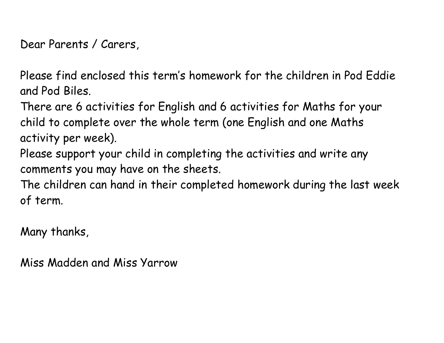Dear Parents / Carers,

Please find enclosed this term's homework for the children in Pod Eddie and Pod Biles.

There are 6 activities for English and 6 activities for Maths for your child to complete over the whole term (one English and one Maths activity per week).

Please support your child in completing the activities and write any comments you may have on the sheets.

The children can hand in their completed homework during the last week of term.

Many thanks,

Miss Madden and Miss Yarrow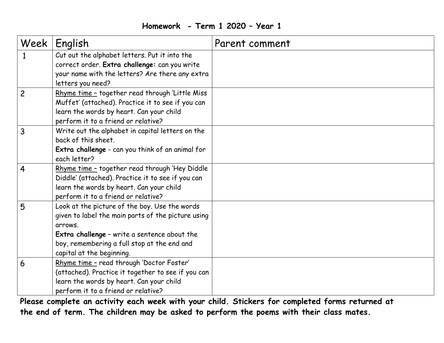#### **Homework - Term 1 2020 – Year 1**

| Week           | English                                                              | Parent comment |
|----------------|----------------------------------------------------------------------|----------------|
| 1              | Cut out the alphabet letters. Put it into the                        |                |
|                | correct order. Extra challenge: can you write                        |                |
|                | your name with the letters? Are there any extra<br>letters you need? |                |
| $\overline{c}$ | Rhyme time - together read through 'Little Miss                      |                |
|                | Muffet' (attached). Practice it to see if you can                    |                |
|                | learn the words by heart. Can your child                             |                |
|                | perform it to a friend or relative?                                  |                |
| 3              | Write out the alphabet in capital letters on the                     |                |
|                | back of this sheet.                                                  |                |
|                | Extra challenge - can you think of an animal for                     |                |
|                | each letter?                                                         |                |
| 4              | Rhyme time - together read through 'Hey Diddle                       |                |
|                | Diddle' (attached). Practice it to see if you can                    |                |
|                | learn the words by heart. Can your child                             |                |
|                | perform it to a friend or relative?                                  |                |
| 5              | Look at the picture of the boy. Use the words                        |                |
|                | given to label the main parts of the picture using                   |                |
|                | arrows.                                                              |                |
|                | Extra challenge - write a sentence about the                         |                |
|                | boy, remembering a full stop at the end and                          |                |
|                | capital at the beginning.                                            |                |
| 6              | Rhyme time - read through 'Doctor Foster'                            |                |
|                | (attached). Practice it together to see if you can                   |                |
|                | learn the words by heart. Can your child                             |                |
|                | perform it to a friend or relative?                                  |                |

**Please complete an activity each week with your child. Stickers for completed forms returned at the end of term. The children may be asked to perform the poems with their class mates.**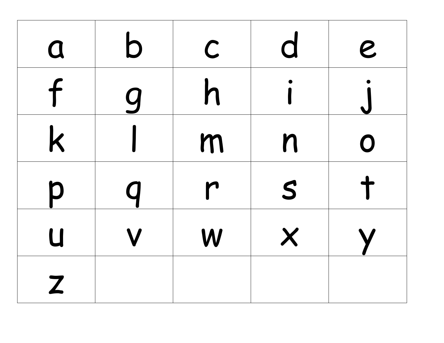| $\Omega$     | b        | $\mathsf C$ | d                 | $\boldsymbol{e}$ |
|--------------|----------|-------------|-------------------|------------------|
| f            | <u>g</u> | h           |                   |                  |
| $\mathsf{k}$ |          | m           | n                 | $\mathbf O$      |
| p            | Q        | r           | S                 |                  |
| U            |          | W           | $\bm{\mathsf{X}}$ |                  |
| Z            |          |             |                   |                  |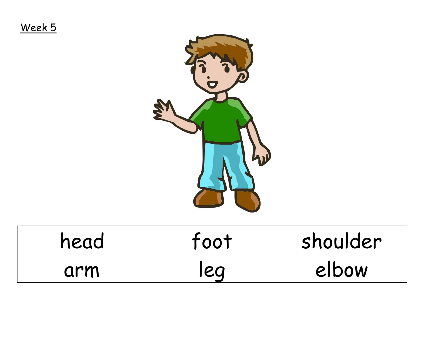Week 5



| head | foot | shoulder |
|------|------|----------|
| arm  | leq  | elbow    |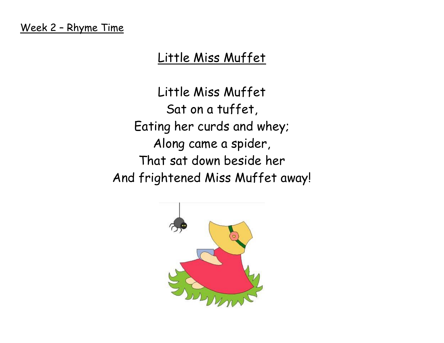# Little Miss Muffet

Little Miss Muffet Sat on a tuffet, Eating her curds and whey; Along came a spider, That sat down beside her And frightened Miss Muffet away!

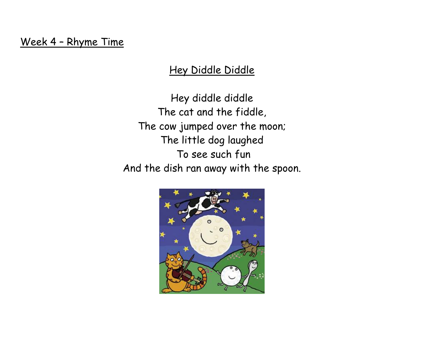Week 4 – Rhyme Time

### Hey Diddle Diddle

Hey diddle diddle The cat and the fiddle, The cow jumped over the moon; The little dog laughed To see such fun And the dish ran away with the spoon.

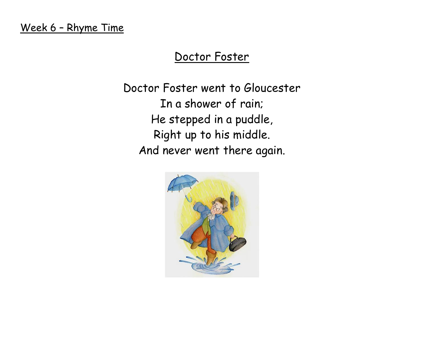### Week 6 – Rhyme Time

## Doctor Foster

Doctor Foster went to Gloucester In a shower of rain; He stepped in a puddle, Right up to his middle. And never went there again.

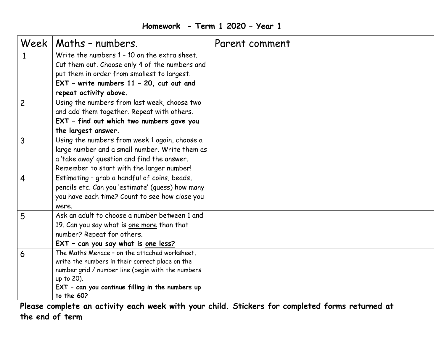### **Homework - Term 1 2020 – Year 1**

|                | Week   Maths - numbers.                                                                                                                                                                                                               | Parent comment |
|----------------|---------------------------------------------------------------------------------------------------------------------------------------------------------------------------------------------------------------------------------------|----------------|
| $\mathbf{1}$   | Write the numbers 1 - 10 on the extra sheet.<br>Cut them out. Choose only 4 of the numbers and<br>put them in order from smallest to largest.<br>$EXT$ - write numbers 11 - 20, cut out and<br>repeat activity above.                 |                |
| $\overline{c}$ | Using the numbers from last week, choose two<br>and add them together. Repeat with others.<br>EXT - find out which two numbers gave you<br>the largest answer.                                                                        |                |
| 3              | Using the numbers from week 1 again, choose a<br>large number and a small number. Write them as<br>a 'take away' question and find the answer.<br>Remember to start with the larger number!                                           |                |
| 4              | Estimating - grab a handful of coins, beads,<br>pencils etc. Can you 'estimate' (guess) how many<br>you have each time? Count to see how close you<br>were.                                                                           |                |
| 5              | Ask an adult to choose a number between 1 and<br>19. Can you say what is one more than that<br>number? Repeat for others.<br>EXT - can you say what is one less?                                                                      |                |
| 6              | The Maths Menace - on the attached worksheet,<br>write the numbers in their correct place on the<br>number grid / number line (begin with the numbers<br>up to 20).<br>EXT - can you continue filling in the numbers up<br>to the 60? |                |

**Please complete an activity each week with your child. Stickers for completed forms returned at the end of term**